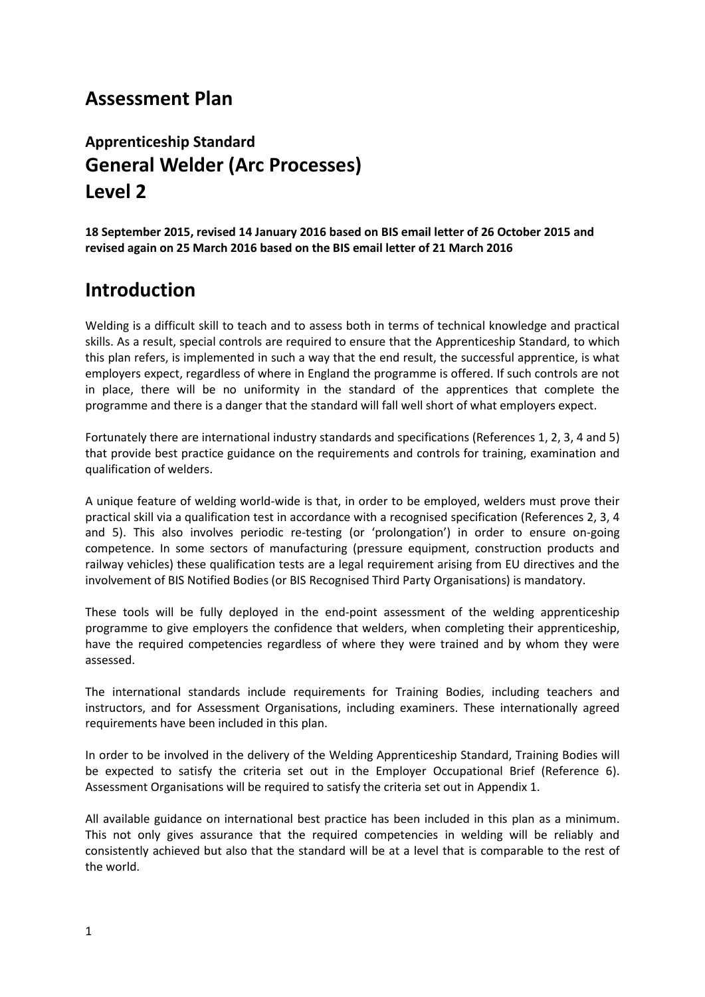# **Assessment Plan**

# **Apprenticeship Standard General Welder (Arc Processes) Level 2**

**18 September 2015, revised 14 January 2016 based on BIS email letter of 26 October 2015 and revised again on 25 March 2016 based on the BIS email letter of 21 March 2016**

# **Introduction**

Welding is a difficult skill to teach and to assess both in terms of technical knowledge and practical skills. As a result, special controls are required to ensure that the Apprenticeship Standard, to which this plan refers, is implemented in such a way that the end result, the successful apprentice, is what employers expect, regardless of where in England the programme is offered. If such controls are not in place, there will be no uniformity in the standard of the apprentices that complete the programme and there is a danger that the standard will fall well short of what employers expect.

Fortunately there are international industry standards and specifications (References 1, 2, 3, 4 and 5) that provide best practice guidance on the requirements and controls for training, examination and qualification of welders.

A unique feature of welding world-wide is that, in order to be employed, welders must prove their practical skill via a qualification test in accordance with a recognised specification (References 2, 3, 4 and 5). This also involves periodic re-testing (or 'prolongation') in order to ensure on-going competence. In some sectors of manufacturing (pressure equipment, construction products and railway vehicles) these qualification tests are a legal requirement arising from EU directives and the involvement of BIS Notified Bodies (or BIS Recognised Third Party Organisations) is mandatory.

These tools will be fully deployed in the end-point assessment of the welding apprenticeship programme to give employers the confidence that welders, when completing their apprenticeship, have the required competencies regardless of where they were trained and by whom they were assessed.

The international standards include requirements for Training Bodies, including teachers and instructors, and for Assessment Organisations, including examiners. These internationally agreed requirements have been included in this plan.

In order to be involved in the delivery of the Welding Apprenticeship Standard, Training Bodies will be expected to satisfy the criteria set out in the Employer Occupational Brief (Reference 6). Assessment Organisations will be required to satisfy the criteria set out in Appendix 1.

All available guidance on international best practice has been included in this plan as a minimum. This not only gives assurance that the required competencies in welding will be reliably and consistently achieved but also that the standard will be at a level that is comparable to the rest of the world.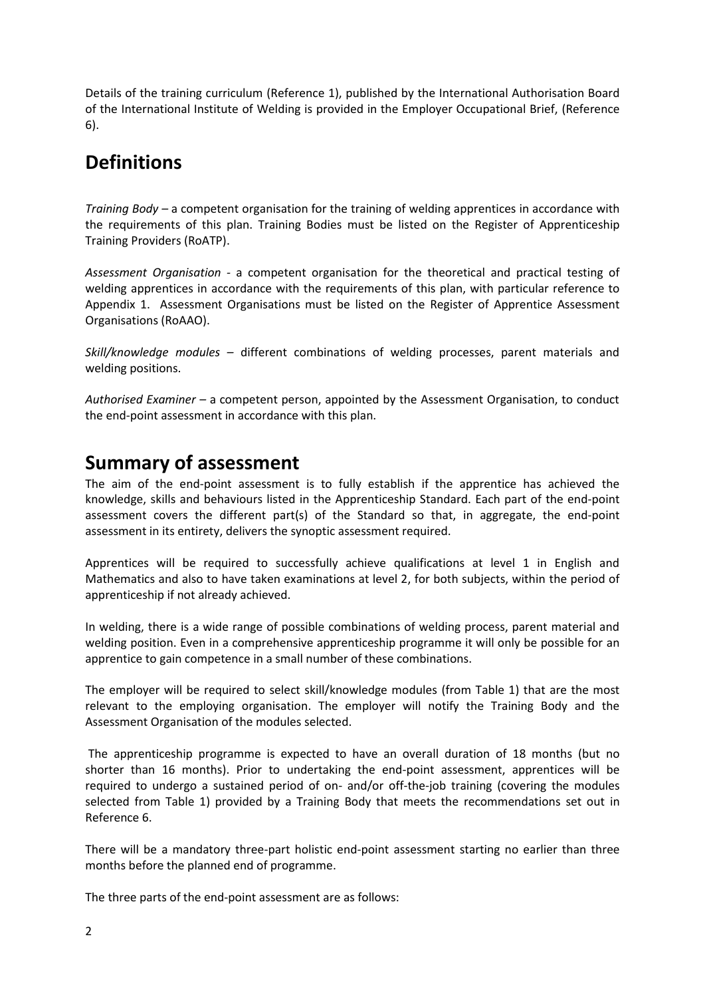Details of the training curriculum (Reference 1), published by the International Authorisation Board of the International Institute of Welding is provided in the Employer Occupational Brief, (Reference 6).

# **Definitions**

*Training Body –* a competent organisation for the training of welding apprentices in accordance with the requirements of this plan. Training Bodies must be listed on the Register of Apprenticeship Training Providers (RoATP).

*Assessment Organisation -* a competent organisation for the theoretical and practical testing of welding apprentices in accordance with the requirements of this plan, with particular reference to Appendix 1. Assessment Organisations must be listed on the Register of Apprentice Assessment Organisations (RoAAO).

*Skill/knowledge modules –* different combinations of welding processes, parent materials and welding positions.

*Authorised Examiner –* a competent person, appointed by the Assessment Organisation, to conduct the end-point assessment in accordance with this plan.

# **Summary of assessment**

The aim of the end-point assessment is to fully establish if the apprentice has achieved the knowledge, skills and behaviours listed in the Apprenticeship Standard. Each part of the end-point assessment covers the different part(s) of the Standard so that, in aggregate, the end-point assessment in its entirety, delivers the synoptic assessment required.

Apprentices will be required to successfully achieve qualifications at level 1 in English and Mathematics and also to have taken examinations at level 2, for both subjects, within the period of apprenticeship if not already achieved.

In welding, there is a wide range of possible combinations of welding process, parent material and welding position. Even in a comprehensive apprenticeship programme it will only be possible for an apprentice to gain competence in a small number of these combinations.

The employer will be required to select skill/knowledge modules (from Table 1) that are the most relevant to the employing organisation. The employer will notify the Training Body and the Assessment Organisation of the modules selected.

The apprenticeship programme is expected to have an overall duration of 18 months (but no shorter than 16 months). Prior to undertaking the end-point assessment, apprentices will be required to undergo a sustained period of on- and/or off-the-job training (covering the modules selected from Table 1) provided by a Training Body that meets the recommendations set out in Reference 6.

There will be a mandatory three-part holistic end-point assessment starting no earlier than three months before the planned end of programme.

The three parts of the end-point assessment are as follows: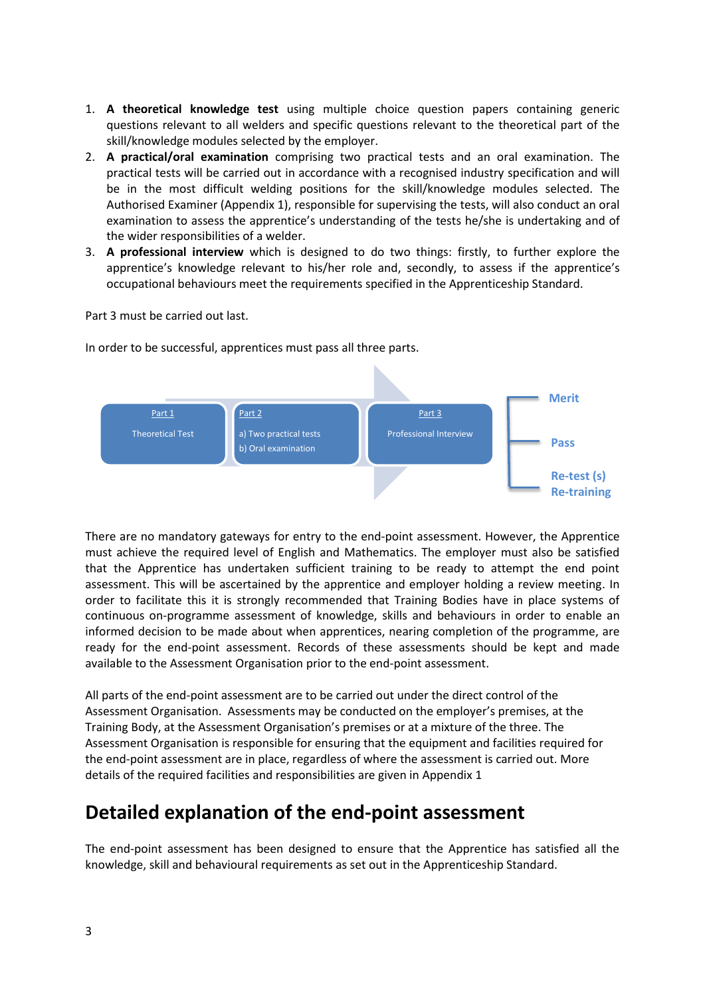- 1. **A theoretical knowledge test** using multiple choice question papers containing generic questions relevant to all welders and specific questions relevant to the theoretical part of the skill/knowledge modules selected by the employer.
- 2. **A practical/oral examination** comprising two practical tests and an oral examination. The practical tests will be carried out in accordance with a recognised industry specification and will be in the most difficult welding positions for the skill/knowledge modules selected. The Authorised Examiner (Appendix 1), responsible for supervising the tests, will also conduct an oral examination to assess the apprentice's understanding of the tests he/she is undertaking and of the wider responsibilities of a welder.
- 3. **A professional interview** which is designed to do two things: firstly, to further explore the apprentice's knowledge relevant to his/her role and, secondly, to assess if the apprentice's occupational behaviours meet the requirements specified in the Apprenticeship Standard.

Part 3 must be carried out last.

In order to be successful, apprentices must pass all three parts.



There are no mandatory gateways for entry to the end-point assessment. However, the Apprentice must achieve the required level of English and Mathematics. The employer must also be satisfied that the Apprentice has undertaken sufficient training to be ready to attempt the end point assessment. This will be ascertained by the apprentice and employer holding a review meeting. In order to facilitate this it is strongly recommended that Training Bodies have in place systems of continuous on-programme assessment of knowledge, skills and behaviours in order to enable an informed decision to be made about when apprentices, nearing completion of the programme, are ready for the end-point assessment. Records of these assessments should be kept and made available to the Assessment Organisation prior to the end-point assessment.

All parts of the end-point assessment are to be carried out under the direct control of the Assessment Organisation. Assessments may be conducted on the employer's premises, at the Training Body, at the Assessment Organisation's premises or at a mixture of the three. The Assessment Organisation is responsible for ensuring that the equipment and facilities required for the end-point assessment are in place, regardless of where the assessment is carried out. More details of the required facilities and responsibilities are given in Appendix 1

# **Detailed explanation of the end-point assessment**

The end-point assessment has been designed to ensure that the Apprentice has satisfied all the knowledge, skill and behavioural requirements as set out in the Apprenticeship Standard.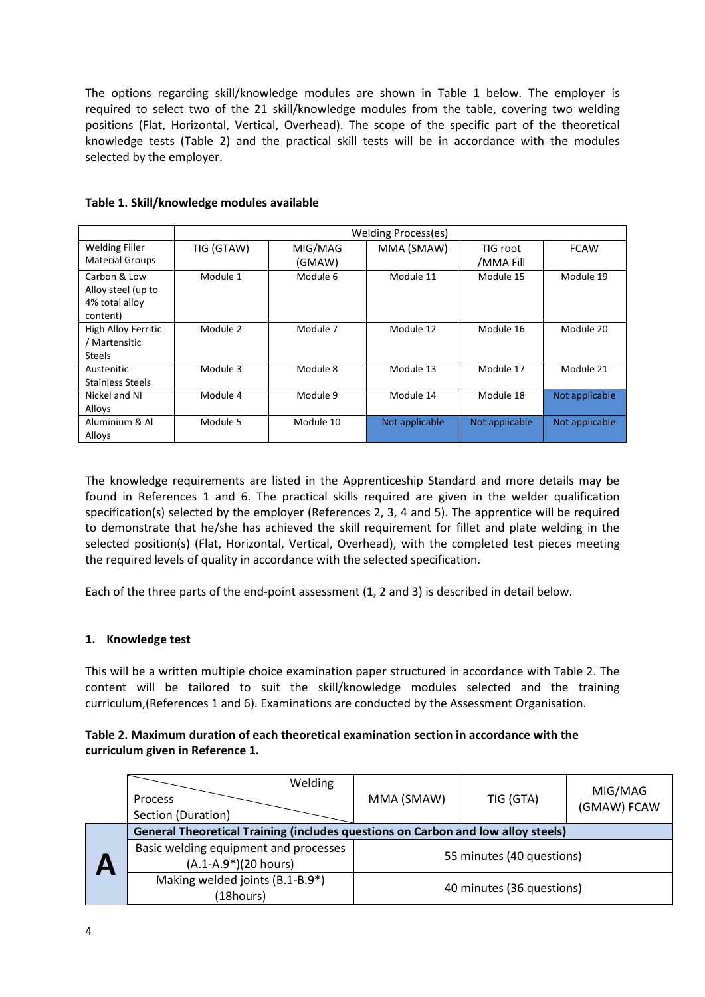The options regarding skill/knowledge modules are shown in Table 1 below. The employer is required to select two of the 21 skill/knowledge modules from the table, covering two welding positions (Flat, Horizontal, Vertical, Overhead). The scope of the specific part of the theoretical knowledge tests (Table 2) and the practical skill tests will be in accordance with the modules selected by the employer.

|                                                                  | Welding Process(es) |                   |                |                       |                |
|------------------------------------------------------------------|---------------------|-------------------|----------------|-----------------------|----------------|
| <b>Welding Filler</b><br><b>Material Groups</b>                  | TIG (GTAW)          | MIG/MAG<br>(GMAW) | MMA (SMAW)     | TIG root<br>/MMA Fill | <b>FCAW</b>    |
| Carbon & Low<br>Alloy steel (up to<br>4% total alloy<br>content) | Module 1            | Module 6          | Module 11      | Module 15             | Module 19      |
| High Alloy Ferritic<br>/ Martensitic<br><b>Steels</b>            | Module 2            | Module 7          | Module 12      | Module 16             | Module 20      |
| Austenitic<br>Stainless Steels                                   | Module 3            | Module 8          | Module 13      | Module 17             | Module 21      |
| Nickel and NI<br>Alloys                                          | Module 4            | Module 9          | Module 14      | Module 18             | Not applicable |
| Aluminium & Al<br>Alloys                                         | Module 5            | Module 10         | Not applicable | Not applicable        | Not applicable |

**Table 1. Skill/knowledge modules available**

The knowledge requirements are listed in the Apprenticeship Standard and more details may be found in References 1 and 6. The practical skills required are given in the welder qualification specification(s) selected by the employer (References 2, 3, 4 and 5). The apprentice will be required to demonstrate that he/she has achieved the skill requirement for fillet and plate welding in the selected position(s) (Flat, Horizontal, Vertical, Overhead), with the completed test pieces meeting the required levels of quality in accordance with the selected specification.

Each of the three parts of the end-point assessment (1, 2 and 3) is described in detail below.

### **1. Knowledge test**

This will be a written multiple choice examination paper structured in accordance with Table 2. The content will be tailored to suit the skill/knowledge modules selected and the training curriculum,(References 1 and 6). Examinations are conducted by the Assessment Organisation.

#### **Table 2. Maximum duration of each theoretical examination section in accordance with the curriculum given in Reference 1.**

|  | Welding<br>Process<br>Section (Duration)                                         | MMA (SMAW)                | TIG (GTA)                 | MIG/MAG<br>(GMAW) FCAW |
|--|----------------------------------------------------------------------------------|---------------------------|---------------------------|------------------------|
|  | General Theoretical Training (includes questions on Carbon and low alloy steels) |                           |                           |                        |
|  | Basic welding equipment and processes<br>$(A.1-A.9*)(20 hours)$                  | 55 minutes (40 questions) |                           |                        |
|  | Making welded joints (B.1-B.9*)<br>(18hours)                                     |                           | 40 minutes (36 questions) |                        |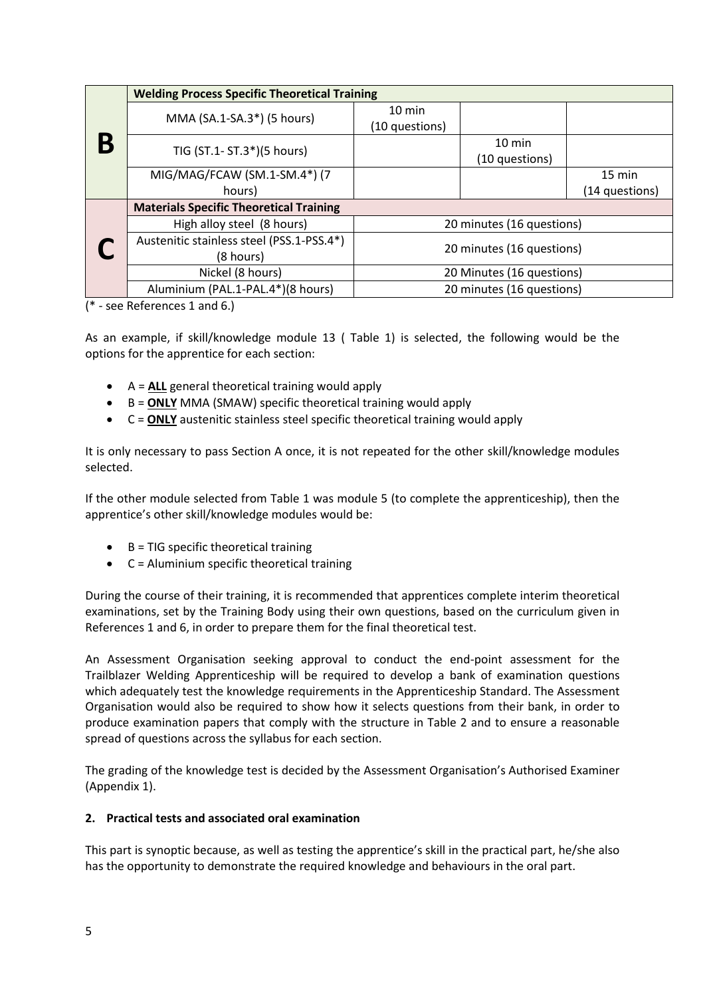|  | <b>Welding Process Specific Theoretical Training</b> |                           |                  |                  |  |
|--|------------------------------------------------------|---------------------------|------------------|------------------|--|
|  | MMA (SA.1-SA.3*) (5 hours)                           | $10 \text{ min}$          |                  |                  |  |
|  |                                                      | (10 questions)            |                  |                  |  |
|  | TIG (ST.1- ST.3*)(5 hours)                           |                           | $10 \text{ min}$ |                  |  |
|  |                                                      |                           | (10 questions)   |                  |  |
|  | MIG/MAG/FCAW (SM.1-SM.4*) (7                         |                           |                  | $15 \text{ min}$ |  |
|  | hours)                                               |                           |                  | (14 questions)   |  |
|  | <b>Materials Specific Theoretical Training</b>       |                           |                  |                  |  |
|  | High alloy steel (8 hours)                           | 20 minutes (16 questions) |                  |                  |  |
|  | Austenitic stainless steel (PSS.1-PSS.4*)            | 20 minutes (16 questions) |                  |                  |  |
|  | (8 hours)                                            |                           |                  |                  |  |
|  | Nickel (8 hours)                                     | 20 Minutes (16 questions) |                  |                  |  |
|  | Aluminium (PAL.1-PAL.4*)(8 hours)                    | 20 minutes (16 questions) |                  |                  |  |

(\* - see References 1 and 6.)

As an example, if skill/knowledge module 13 ( Table 1) is selected, the following would be the options for the apprentice for each section:

- A = **ALL** general theoretical training would apply
- B = **ONLY** MMA (SMAW) specific theoretical training would apply
- C = **ONLY** austenitic stainless steel specific theoretical training would apply

It is only necessary to pass Section A once, it is not repeated for the other skill/knowledge modules selected.

If the other module selected from Table 1 was module 5 (to complete the apprenticeship), then the apprentice's other skill/knowledge modules would be:

- $\bullet$  B = TIG specific theoretical training
- $C =$  Aluminium specific theoretical training

During the course of their training, it is recommended that apprentices complete interim theoretical examinations, set by the Training Body using their own questions, based on the curriculum given in References 1 and 6, in order to prepare them for the final theoretical test.

An Assessment Organisation seeking approval to conduct the end-point assessment for the Trailblazer Welding Apprenticeship will be required to develop a bank of examination questions which adequately test the knowledge requirements in the Apprenticeship Standard. The Assessment Organisation would also be required to show how it selects questions from their bank, in order to produce examination papers that comply with the structure in Table 2 and to ensure a reasonable spread of questions across the syllabus for each section.

The grading of the knowledge test is decided by the Assessment Organisation's Authorised Examiner (Appendix 1).

#### **2. Practical tests and associated oral examination**

This part is synoptic because, as well as testing the apprentice's skill in the practical part, he/she also has the opportunity to demonstrate the required knowledge and behaviours in the oral part.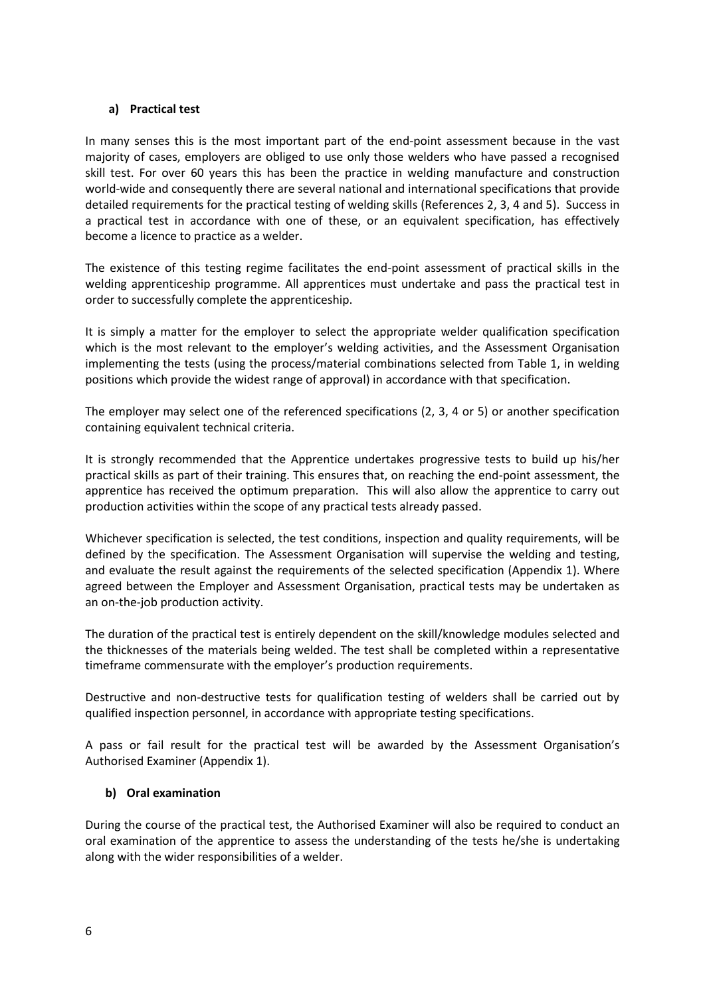### **a) Practical test**

In many senses this is the most important part of the end-point assessment because in the vast majority of cases, employers are obliged to use only those welders who have passed a recognised skill test. For over 60 years this has been the practice in welding manufacture and construction world-wide and consequently there are several national and international specifications that provide detailed requirements for the practical testing of welding skills (References 2, 3, 4 and 5). Success in a practical test in accordance with one of these, or an equivalent specification, has effectively become a licence to practice as a welder.

The existence of this testing regime facilitates the end-point assessment of practical skills in the welding apprenticeship programme. All apprentices must undertake and pass the practical test in order to successfully complete the apprenticeship.

It is simply a matter for the employer to select the appropriate welder qualification specification which is the most relevant to the employer's welding activities, and the Assessment Organisation implementing the tests (using the process/material combinations selected from Table 1, in welding positions which provide the widest range of approval) in accordance with that specification.

The employer may select one of the referenced specifications (2, 3, 4 or 5) or another specification containing equivalent technical criteria.

It is strongly recommended that the Apprentice undertakes progressive tests to build up his/her practical skills as part of their training. This ensures that, on reaching the end-point assessment, the apprentice has received the optimum preparation. This will also allow the apprentice to carry out production activities within the scope of any practical tests already passed.

Whichever specification is selected, the test conditions, inspection and quality requirements, will be defined by the specification. The Assessment Organisation will supervise the welding and testing, and evaluate the result against the requirements of the selected specification (Appendix 1). Where agreed between the Employer and Assessment Organisation, practical tests may be undertaken as an on-the-job production activity.

The duration of the practical test is entirely dependent on the skill/knowledge modules selected and the thicknesses of the materials being welded. The test shall be completed within a representative timeframe commensurate with the employer's production requirements.

Destructive and non-destructive tests for qualification testing of welders shall be carried out by qualified inspection personnel, in accordance with appropriate testing specifications.

A pass or fail result for the practical test will be awarded by the Assessment Organisation's Authorised Examiner (Appendix 1).

### **b) Oral examination**

During the course of the practical test, the Authorised Examiner will also be required to conduct an oral examination of the apprentice to assess the understanding of the tests he/she is undertaking along with the wider responsibilities of a welder.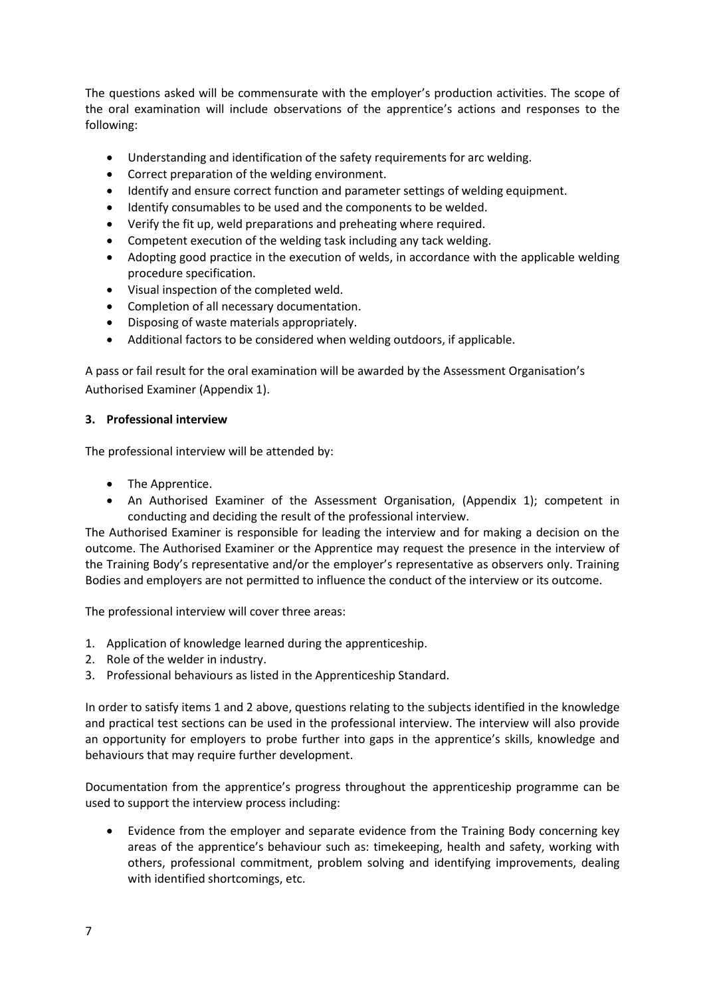The questions asked will be commensurate with the employer's production activities. The scope of the oral examination will include observations of the apprentice's actions and responses to the following:

- Understanding and identification of the safety requirements for arc welding.
- Correct preparation of the welding environment.
- Identify and ensure correct function and parameter settings of welding equipment.
- Identify consumables to be used and the components to be welded.
- Verify the fit up, weld preparations and preheating where required.
- Competent execution of the welding task including any tack welding.
- Adopting good practice in the execution of welds, in accordance with the applicable welding procedure specification.
- Visual inspection of the completed weld.
- Completion of all necessary documentation.
- Disposing of waste materials appropriately.
- Additional factors to be considered when welding outdoors, if applicable.

A pass or fail result for the oral examination will be awarded by the Assessment Organisation's Authorised Examiner (Appendix 1).

### **3. Professional interview**

The professional interview will be attended by:

- The Apprentice.
- An Authorised Examiner of the Assessment Organisation, (Appendix 1); competent in conducting and deciding the result of the professional interview.

The Authorised Examiner is responsible for leading the interview and for making a decision on the outcome. The Authorised Examiner or the Apprentice may request the presence in the interview of the Training Body's representative and/or the employer's representative as observers only. Training Bodies and employers are not permitted to influence the conduct of the interview or its outcome.

The professional interview will cover three areas:

- 1. Application of knowledge learned during the apprenticeship.
- 2. Role of the welder in industry.
- 3. Professional behaviours as listed in the Apprenticeship Standard.

In order to satisfy items 1 and 2 above, questions relating to the subjects identified in the knowledge and practical test sections can be used in the professional interview. The interview will also provide an opportunity for employers to probe further into gaps in the apprentice's skills, knowledge and behaviours that may require further development.

Documentation from the apprentice's progress throughout the apprenticeship programme can be used to support the interview process including:

 Evidence from the employer and separate evidence from the Training Body concerning key areas of the apprentice's behaviour such as: timekeeping, health and safety, working with others, professional commitment, problem solving and identifying improvements, dealing with identified shortcomings, etc.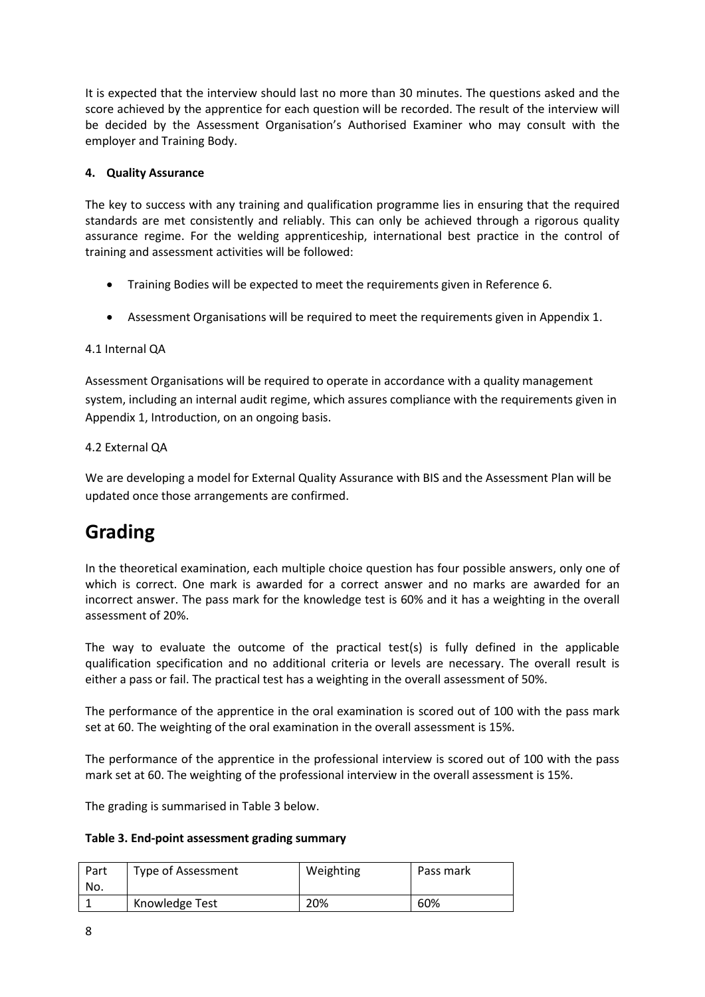It is expected that the interview should last no more than 30 minutes. The questions asked and the score achieved by the apprentice for each question will be recorded. The result of the interview will be decided by the Assessment Organisation's Authorised Examiner who may consult with the employer and Training Body.

### **4. Quality Assurance**

The key to success with any training and qualification programme lies in ensuring that the required standards are met consistently and reliably. This can only be achieved through a rigorous quality assurance regime. For the welding apprenticeship, international best practice in the control of training and assessment activities will be followed:

- Training Bodies will be expected to meet the requirements given in Reference 6.
- Assessment Organisations will be required to meet the requirements given in Appendix 1.

### 4.1 Internal QA

Assessment Organisations will be required to operate in accordance with a quality management system, including an internal audit regime, which assures compliance with the requirements given in Appendix 1, Introduction, on an ongoing basis.

### 4.2 External QA

We are developing a model for External Quality Assurance with BIS and the Assessment Plan will be updated once those arrangements are confirmed.

# **Grading**

In the theoretical examination, each multiple choice question has four possible answers, only one of which is correct. One mark is awarded for a correct answer and no marks are awarded for an incorrect answer. The pass mark for the knowledge test is 60% and it has a weighting in the overall assessment of 20%.

The way to evaluate the outcome of the practical test(s) is fully defined in the applicable qualification specification and no additional criteria or levels are necessary. The overall result is either a pass or fail. The practical test has a weighting in the overall assessment of 50%.

The performance of the apprentice in the oral examination is scored out of 100 with the pass mark set at 60. The weighting of the oral examination in the overall assessment is 15%.

The performance of the apprentice in the professional interview is scored out of 100 with the pass mark set at 60. The weighting of the professional interview in the overall assessment is 15%.

The grading is summarised in Table 3 below.

**Table 3. End-point assessment grading summary**

| Part<br>No. | Type of Assessment | Weighting | Pass mark |
|-------------|--------------------|-----------|-----------|
|             | Knowledge Test     | 20%       | 60%       |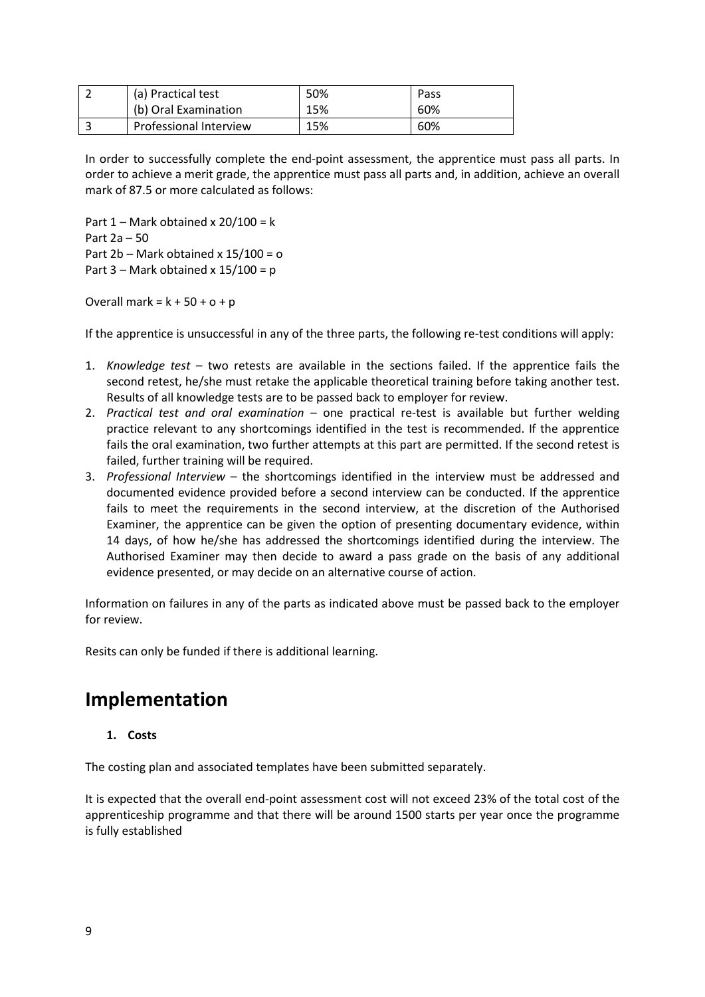| (a) Practical test            | 50% | Pass |
|-------------------------------|-----|------|
| (b) Oral Examination          | 15% | 60%  |
| <b>Professional Interview</b> | 15% | 60%  |

In order to successfully complete the end-point assessment, the apprentice must pass all parts. In order to achieve a merit grade, the apprentice must pass all parts and, in addition, achieve an overall mark of 87.5 or more calculated as follows:

Part  $1 -$  Mark obtained x 20/100 = k Part 2a – 50 Part 2b – Mark obtained x 15/100 = o Part  $3$  – Mark obtained x  $15/100 = p$ 

Overall mark =  $k + 50 + o + p$ 

If the apprentice is unsuccessful in any of the three parts, the following re-test conditions will apply:

- 1. *Knowledge test* two retests are available in the sections failed. If the apprentice fails the second retest, he/she must retake the applicable theoretical training before taking another test. Results of all knowledge tests are to be passed back to employer for review.
- 2. *Practical test and oral examination* one practical re-test is available but further welding practice relevant to any shortcomings identified in the test is recommended. If the apprentice fails the oral examination, two further attempts at this part are permitted. If the second retest is failed, further training will be required.
- 3. *Professional Interview* the shortcomings identified in the interview must be addressed and documented evidence provided before a second interview can be conducted. If the apprentice fails to meet the requirements in the second interview, at the discretion of the Authorised Examiner, the apprentice can be given the option of presenting documentary evidence, within 14 days, of how he/she has addressed the shortcomings identified during the interview. The Authorised Examiner may then decide to award a pass grade on the basis of any additional evidence presented, or may decide on an alternative course of action.

Information on failures in any of the parts as indicated above must be passed back to the employer for review.

Resits can only be funded if there is additional learning.

### **Implementation**

#### **1. Costs**

The costing plan and associated templates have been submitted separately.

It is expected that the overall end-point assessment cost will not exceed 23% of the total cost of the apprenticeship programme and that there will be around 1500 starts per year once the programme is fully established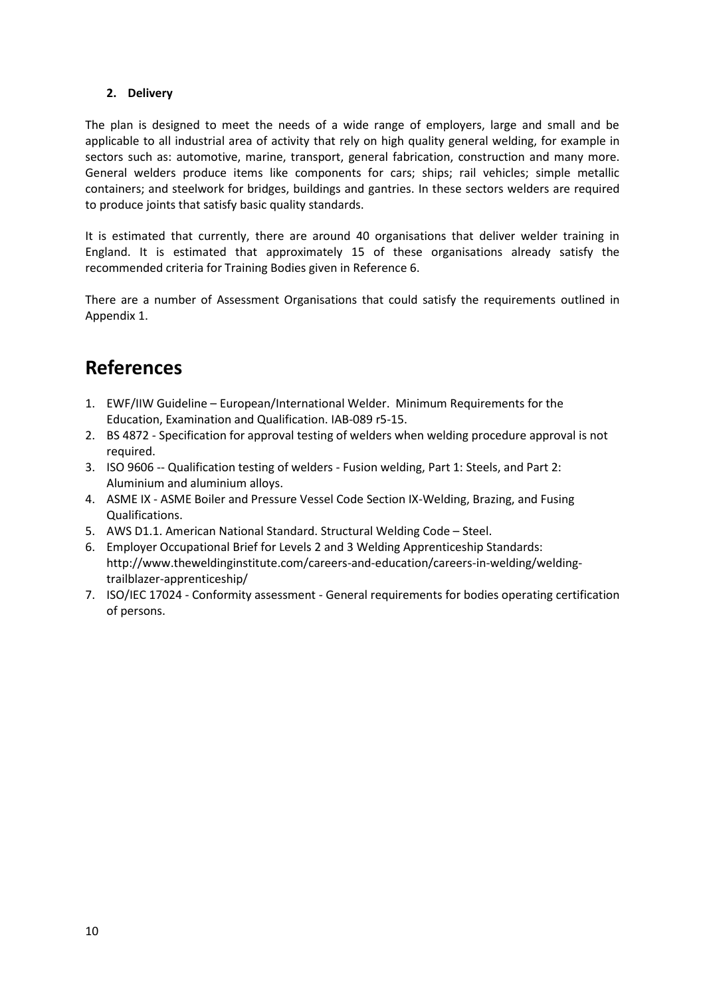### **2. Delivery**

The plan is designed to meet the needs of a wide range of employers, large and small and be applicable to all industrial area of activity that rely on high quality general welding, for example in sectors such as: automotive, marine, transport, general fabrication, construction and many more. General welders produce items like components for cars; ships; rail vehicles; simple metallic containers; and steelwork for bridges, buildings and gantries. In these sectors welders are required to produce joints that satisfy basic quality standards.

It is estimated that currently, there are around 40 organisations that deliver welder training in England. It is estimated that approximately 15 of these organisations already satisfy the recommended criteria for Training Bodies given in Reference 6.

There are a number of Assessment Organisations that could satisfy the requirements outlined in Appendix 1.

# **References**

- 1. EWF/IIW Guideline European/International Welder. Minimum Requirements for the Education, Examination and Qualification. IAB-089 r5-15.
- 2. BS 4872 Specification for approval testing of welders when welding procedure approval is not required.
- 3. ISO 9606 -- Qualification testing of welders Fusion welding, Part 1: Steels, and Part 2: Aluminium and aluminium alloys.
- 4. ASME IX ASME Boiler and Pressure Vessel Code Section IX-Welding, Brazing, and Fusing Qualifications.
- 5. AWS D1.1. American National Standard. Structural Welding Code Steel.
- 6. Employer Occupational Brief for Levels 2 and 3 Welding Apprenticeship Standards: http://www.theweldinginstitute.com/careers-and-education/careers-in-welding/weldingtrailblazer-apprenticeship/
- 7. ISO/IEC 17024 Conformity assessment General requirements for bodies operating certification of persons.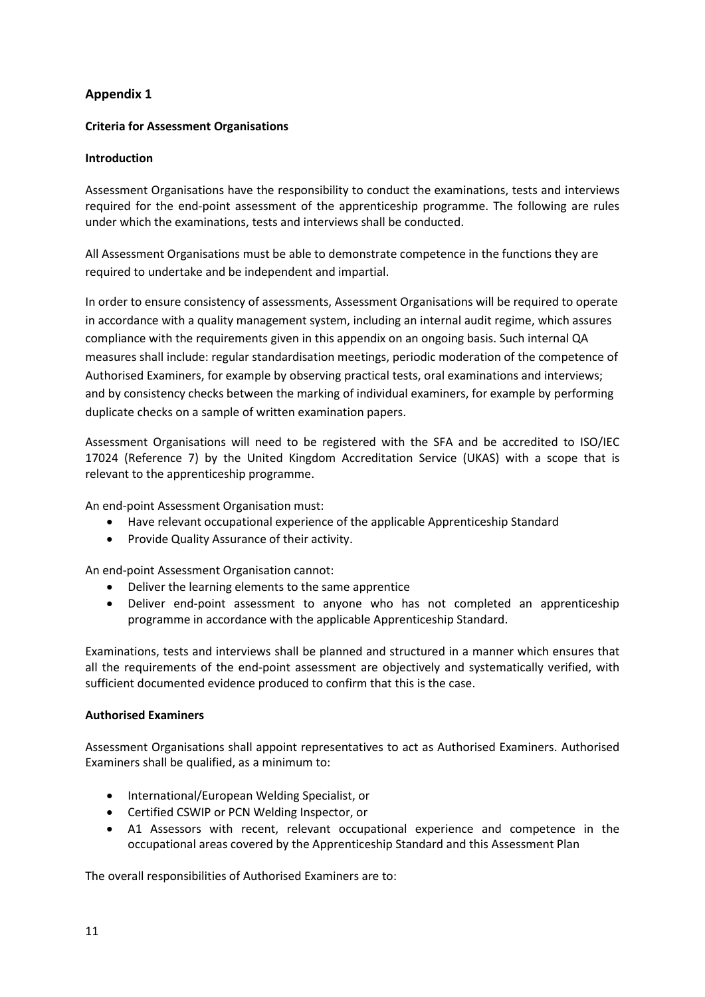### **Appendix 1**

### **Criteria for Assessment Organisations**

### **Introduction**

Assessment Organisations have the responsibility to conduct the examinations, tests and interviews required for the end-point assessment of the apprenticeship programme. The following are rules under which the examinations, tests and interviews shall be conducted.

All Assessment Organisations must be able to demonstrate competence in the functions they are required to undertake and be independent and impartial.

In order to ensure consistency of assessments, Assessment Organisations will be required to operate in accordance with a quality management system, including an internal audit regime, which assures compliance with the requirements given in this appendix on an ongoing basis. Such internal QA measures shall include: regular standardisation meetings, periodic moderation of the competence of Authorised Examiners, for example by observing practical tests, oral examinations and interviews; and by consistency checks between the marking of individual examiners, for example by performing duplicate checks on a sample of written examination papers.

Assessment Organisations will need to be registered with the SFA and be accredited to ISO/IEC 17024 (Reference 7) by the United Kingdom Accreditation Service (UKAS) with a scope that is relevant to the apprenticeship programme.

An end-point Assessment Organisation must:

- Have relevant occupational experience of the applicable Apprenticeship Standard
- Provide Quality Assurance of their activity.

An end-point Assessment Organisation cannot:

- Deliver the learning elements to the same apprentice
- Deliver end-point assessment to anyone who has not completed an apprenticeship programme in accordance with the applicable Apprenticeship Standard.

Examinations, tests and interviews shall be planned and structured in a manner which ensures that all the requirements of the end-point assessment are objectively and systematically verified, with sufficient documented evidence produced to confirm that this is the case.

### **Authorised Examiners**

Assessment Organisations shall appoint representatives to act as Authorised Examiners. Authorised Examiners shall be qualified, as a minimum to:

- International/European Welding Specialist, or
- Certified CSWIP or PCN Welding Inspector, or
- A1 Assessors with recent, relevant occupational experience and competence in the occupational areas covered by the Apprenticeship Standard and this Assessment Plan

The overall responsibilities of Authorised Examiners are to: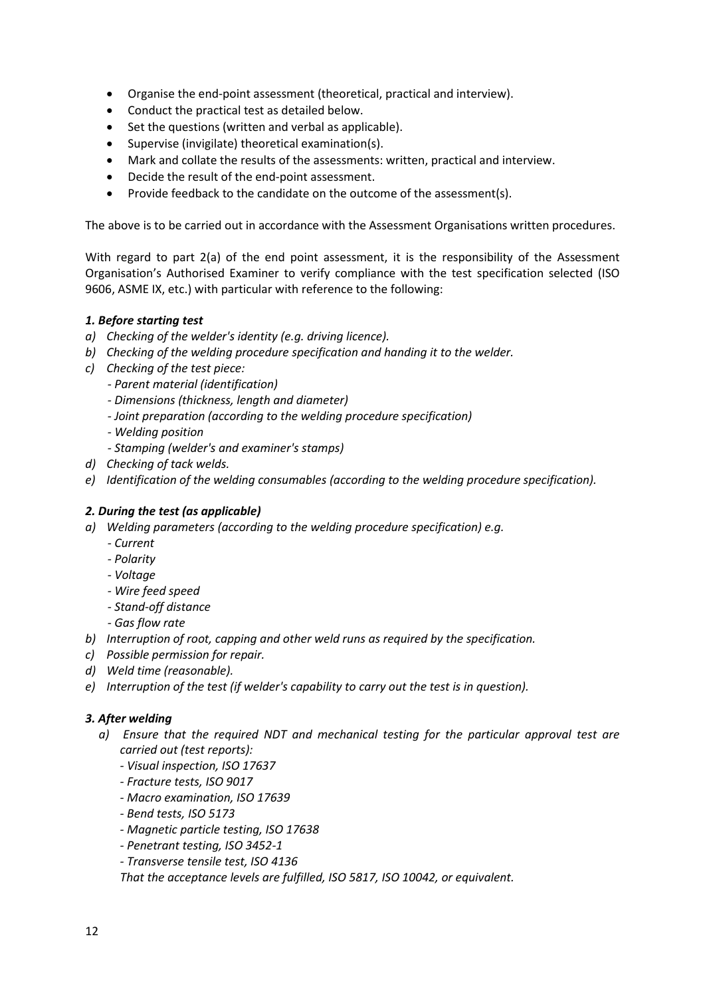- Organise the end-point assessment (theoretical, practical and interview).
- Conduct the practical test as detailed below.
- Set the questions (written and verbal as applicable).
- Supervise (invigilate) theoretical examination(s).
- Mark and collate the results of the assessments: written, practical and interview.
- Decide the result of the end-point assessment.
- Provide feedback to the candidate on the outcome of the assessment(s).

The above is to be carried out in accordance with the Assessment Organisations written procedures.

With regard to part 2(a) of the end point assessment, it is the responsibility of the Assessment Organisation's Authorised Examiner to verify compliance with the test specification selected (ISO 9606, ASME IX, etc.) with particular with reference to the following:

### *1. Before starting test*

- *a) Checking of the welder's identity (e.g. driving licence).*
- *b) Checking of the welding procedure specification and handing it to the welder.*
- *c) Checking of the test piece:*
	- *- Parent material (identification)*
	- *- Dimensions (thickness, length and diameter)*
	- *- Joint preparation (according to the welding procedure specification)*
	- *- Welding position*
	- *- Stamping (welder's and examiner's stamps)*
- *d) Checking of tack welds.*
- *e) Identification of the welding consumables (according to the welding procedure specification).*

### *2. During the test (as applicable)*

- *a) Welding parameters (according to the welding procedure specification) e.g.*
	- *- Current*
	- *- Polarity*
	- *- Voltage*
	- *- Wire feed speed*
	- *- Stand-off distance*
	- *- Gas flow rate*
- *b) Interruption of root, capping and other weld runs as required by the specification.*
- *c) Possible permission for repair.*
- *d) Weld time (reasonable).*
- *e) Interruption of the test (if welder's capability to carry out the test is in question).*

### *3. After welding*

- *a) Ensure that the required NDT and mechanical testing for the particular approval test are carried out (test reports):*
	- *- Visual inspection, ISO 17637*
	- *- Fracture tests, ISO 9017*
	- *- Macro examination, ISO 17639*
	- *- Bend tests, ISO 5173*
	- *- Magnetic particle testing, ISO 17638*
	- *- Penetrant testing, ISO 3452-1*
	- *- Transverse tensile test, ISO 4136*

*That the acceptance levels are fulfilled, ISO 5817, ISO 10042, or equivalent.*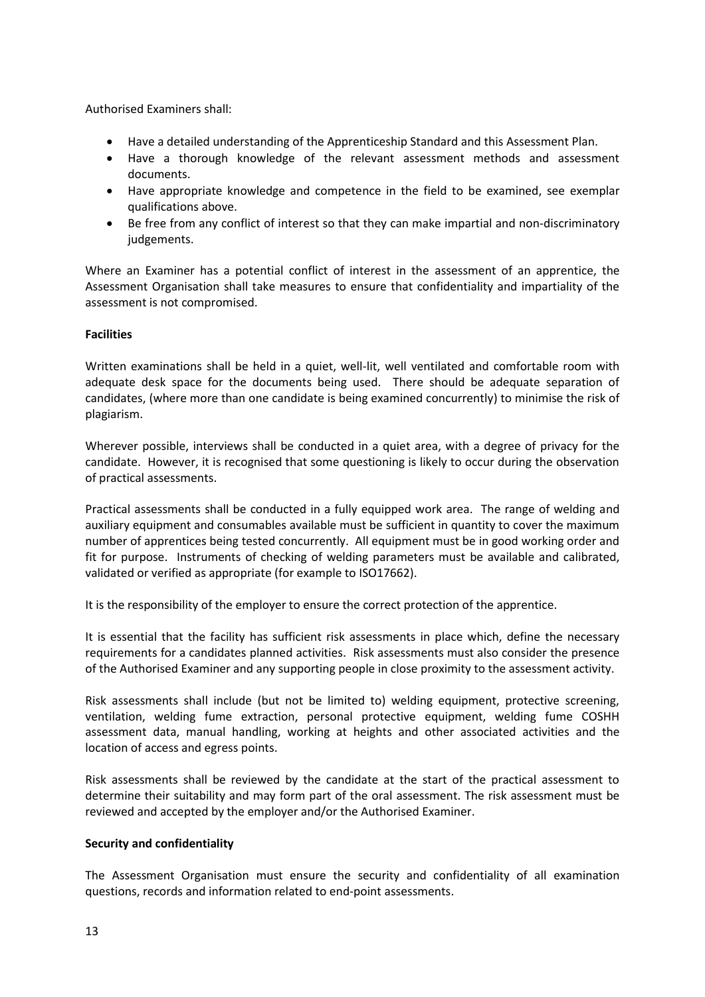Authorised Examiners shall:

- Have a detailed understanding of the Apprenticeship Standard and this Assessment Plan.
- Have a thorough knowledge of the relevant assessment methods and assessment documents.
- Have appropriate knowledge and competence in the field to be examined, see exemplar qualifications above.
- Be free from any conflict of interest so that they can make impartial and non-discriminatory judgements.

Where an Examiner has a potential conflict of interest in the assessment of an apprentice, the Assessment Organisation shall take measures to ensure that confidentiality and impartiality of the assessment is not compromised.

### **Facilities**

Written examinations shall be held in a quiet, well-lit, well ventilated and comfortable room with adequate desk space for the documents being used. There should be adequate separation of candidates, (where more than one candidate is being examined concurrently) to minimise the risk of plagiarism.

Wherever possible, interviews shall be conducted in a quiet area, with a degree of privacy for the candidate. However, it is recognised that some questioning is likely to occur during the observation of practical assessments.

Practical assessments shall be conducted in a fully equipped work area. The range of welding and auxiliary equipment and consumables available must be sufficient in quantity to cover the maximum number of apprentices being tested concurrently. All equipment must be in good working order and fit for purpose. Instruments of checking of welding parameters must be available and calibrated, validated or verified as appropriate (for example to ISO17662).

It is the responsibility of the employer to ensure the correct protection of the apprentice.

It is essential that the facility has sufficient risk assessments in place which, define the necessary requirements for a candidates planned activities. Risk assessments must also consider the presence of the Authorised Examiner and any supporting people in close proximity to the assessment activity.

Risk assessments shall include (but not be limited to) welding equipment, protective screening, ventilation, welding fume extraction, personal protective equipment, welding fume COSHH assessment data, manual handling, working at heights and other associated activities and the location of access and egress points.

Risk assessments shall be reviewed by the candidate at the start of the practical assessment to determine their suitability and may form part of the oral assessment. The risk assessment must be reviewed and accepted by the employer and/or the Authorised Examiner.

#### **Security and confidentiality**

The Assessment Organisation must ensure the security and confidentiality of all examination questions, records and information related to end-point assessments.